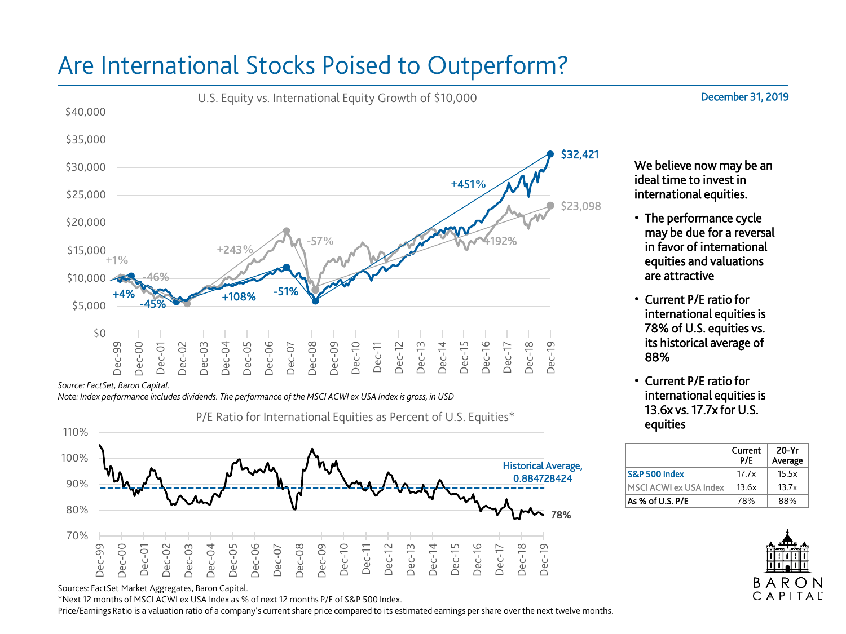## Are International Stocks Poised to Outperform?



*Source: FactSet, Baron Capital.*

*Note: Index performance includes dividends. The performance of the MSCI ACWI ex USA Index is gross, in USD*

P/E Ratio for International Equities as Percent of U.S. Equities\*



Sources: FactSet Market Aggregates, Baron Capital.

\*Next 12 months of MSCI ACWI ex USA Index as % of next 12 months P/E of S&P 500 Index.

Price/Earnings Ratio is a valuation ratio of a company's current share price compared to its estimated earnings per share over the next twelve months.

We believe now may be an ideal time to invest in international equities.

- The performance cycle may be due for a reversal in favor of international equities and valuations are attractive
- Current P/E ratio for international equities is 78% of U.S. equities vs. its historical average of 88%
- Current P/E ratio for international equities is 13.6x vs. 17.7x for U.S. equities

|                        | Current<br>P/F | 20-Yr<br>Average |
|------------------------|----------------|------------------|
| S&P 500 Index          | 17.7x          | 15.5x            |
| MSCI ACWI ex USA Index | 13.6x          | 13.7x            |
| As % of U.S. P/E       | 78%            | 88%              |



December 31, 2019